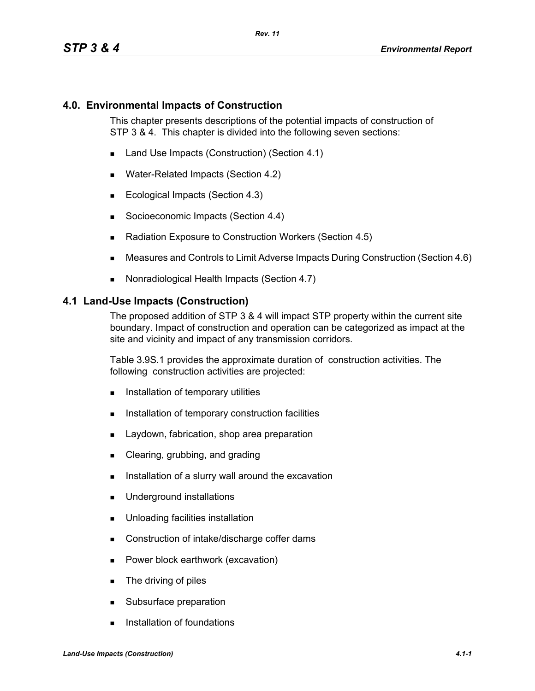#### **4.0. Environmental Impacts of Construction**

This chapter presents descriptions of the potential impacts of construction of STP 3 & 4. This chapter is divided into the following seven sections:

- Land Use Impacts (Construction) (Section 4.1)
- Water-Related Impacts (Section 4.2)
- Ecological Impacts (Section 4.3)
- Socioeconomic Impacts (Section 4.4)
- Radiation Exposure to Construction Workers (Section 4.5)
- Measures and Controls to Limit Adverse Impacts During Construction (Section 4.6)
- Nonradiological Health Impacts (Section 4.7)

#### **4.1 Land-Use Impacts (Construction)**

The proposed addition of STP 3 & 4 will impact STP property within the current site boundary. Impact of construction and operation can be categorized as impact at the site and vicinity and impact of any transmission corridors.

Table 3.9S.1 provides the approximate duration of construction activities. The following construction activities are projected:

- **Installation of temporary utilities**
- **Installation of temporary construction facilities**
- **Laydown, fabrication, shop area preparation**
- Clearing, grubbing, and grading
- Installation of a slurry wall around the excavation
- **Underground installations**
- **Unloading facilities installation**
- Construction of intake/discharge coffer dams
- **Power block earthwork (excavation)**
- **The driving of piles**
- Subsurface preparation
- **Installation of foundations**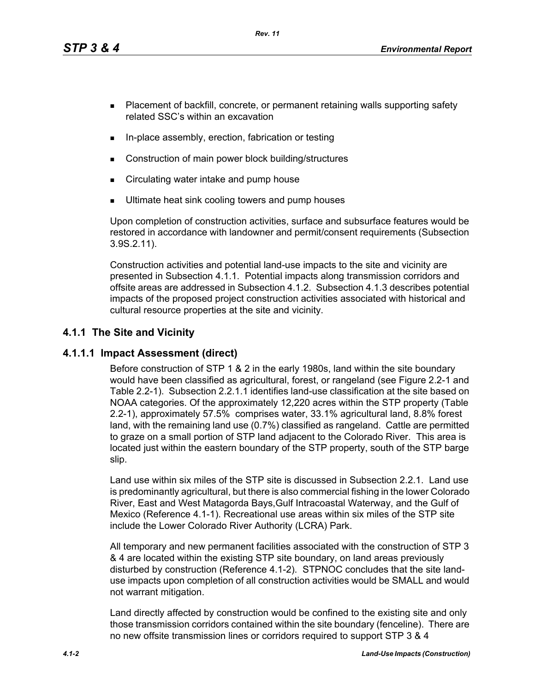*Rev. 11*

- **Placement of backfill, concrete, or permanent retaining walls supporting safety** related SSC's within an excavation
- In-place assembly, erection, fabrication or testing
- Construction of main power block building/structures
- **EXECT** Circulating water intake and pump house
- Ultimate heat sink cooling towers and pump houses

Upon completion of construction activities, surface and subsurface features would be restored in accordance with landowner and permit/consent requirements (Subsection 3.9S.2.11).

Construction activities and potential land-use impacts to the site and vicinity are presented in Subsection 4.1.1. Potential impacts along transmission corridors and offsite areas are addressed in Subsection 4.1.2. Subsection 4.1.3 describes potential impacts of the proposed project construction activities associated with historical and cultural resource properties at the site and vicinity.

# **4.1.1 The Site and Vicinity**

## **4.1.1.1 Impact Assessment (direct)**

Before construction of STP 1 & 2 in the early 1980s, land within the site boundary would have been classified as agricultural, forest, or rangeland (see Figure 2.2-1 and Table 2.2-1). Subsection 2.2.1.1 identifies land-use classification at the site based on NOAA categories. Of the approximately 12,220 acres within the STP property (Table 2.2-1), approximately 57.5% comprises water, 33.1% agricultural land, 8.8% forest land, with the remaining land use (0.7%) classified as rangeland. Cattle are permitted to graze on a small portion of STP land adjacent to the Colorado River. This area is located just within the eastern boundary of the STP property, south of the STP barge slip.

Land use within six miles of the STP site is discussed in Subsection 2.2.1. Land use is predominantly agricultural, but there is also commercial fishing in the lower Colorado River, East and West Matagorda Bays,Gulf Intracoastal Waterway, and the Gulf of Mexico (Reference 4.1-1). Recreational use areas within six miles of the STP site include the Lower Colorado River Authority (LCRA) Park.

All temporary and new permanent facilities associated with the construction of STP 3 & 4 are located within the existing STP site boundary, on land areas previously disturbed by construction (Reference 4.1-2). STPNOC concludes that the site landuse impacts upon completion of all construction activities would be SMALL and would not warrant mitigation.

Land directly affected by construction would be confined to the existing site and only those transmission corridors contained within the site boundary (fenceline). There are no new offsite transmission lines or corridors required to support STP 3 & 4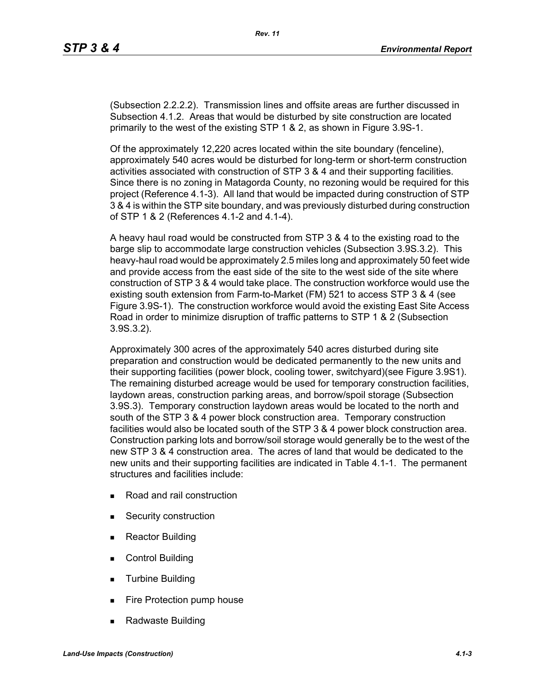(Subsection 2.2.2.2). Transmission lines and offsite areas are further discussed in Subsection 4.1.2. Areas that would be disturbed by site construction are located primarily to the west of the existing STP 1 & 2, as shown in Figure 3.9S-1.

Of the approximately 12,220 acres located within the site boundary (fenceline), approximately 540 acres would be disturbed for long-term or short-term construction activities associated with construction of STP 3 & 4 and their supporting facilities. Since there is no zoning in Matagorda County, no rezoning would be required for this project (Reference 4.1-3). All land that would be impacted during construction of STP 3 & 4 is within the STP site boundary, and was previously disturbed during construction of STP 1 & 2 (References 4.1-2 and 4.1-4).

A heavy haul road would be constructed from STP 3 & 4 to the existing road to the barge slip to accommodate large construction vehicles (Subsection 3.9S.3.2). This heavy-haul road would be approximately 2.5 miles long and approximately 50 feet wide and provide access from the east side of the site to the west side of the site where construction of STP 3 & 4 would take place. The construction workforce would use the existing south extension from Farm-to-Market (FM) 521 to access STP 3 & 4 (see Figure 3.9S-1). The construction workforce would avoid the existing East Site Access Road in order to minimize disruption of traffic patterns to STP 1 & 2 (Subsection 3.9S.3.2).

Approximately 300 acres of the approximately 540 acres disturbed during site preparation and construction would be dedicated permanently to the new units and their supporting facilities (power block, cooling tower, switchyard)(see Figure 3.9S1). The remaining disturbed acreage would be used for temporary construction facilities, laydown areas, construction parking areas, and borrow/spoil storage (Subsection 3.9S.3). Temporary construction laydown areas would be located to the north and south of the STP 3 & 4 power block construction area. Temporary construction facilities would also be located south of the STP 3 & 4 power block construction area. Construction parking lots and borrow/soil storage would generally be to the west of the new STP 3 & 4 construction area. The acres of land that would be dedicated to the new units and their supporting facilities are indicated in Table 4.1-1. The permanent structures and facilities include:

- Road and rail construction
- **Security construction**
- **Reactor Building**
- Control Building
- **Turbine Building**
- Fire Protection pump house
- Radwaste Building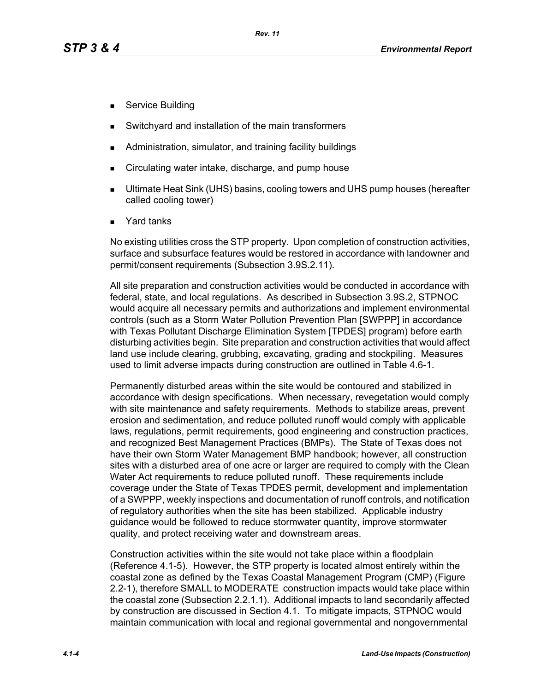- Service Building
- Switchyard and installation of the main transformers
- Administration, simulator, and training facility buildings
- Circulating water intake, discharge, and pump house
- Ultimate Heat Sink (UHS) basins, cooling towers and UHS pump houses (hereafter called cooling tower)
- Yard tanks

No existing utilities cross the STP property. Upon completion of construction activities, surface and subsurface features would be restored in accordance with landowner and permit/consent requirements (Subsection 3.9S.2.11).

All site preparation and construction activities would be conducted in accordance with federal, state, and local regulations. As described in Subsection 3.9S.2, STPNOC would acquire all necessary permits and authorizations and implement environmental controls (such as a Storm Water Pollution Prevention Plan [SWPPP] in accordance with Texas Pollutant Discharge Elimination System [TPDES] program) before earth disturbing activities begin. Site preparation and construction activities that would affect land use include clearing, grubbing, excavating, grading and stockpiling. Measures used to limit adverse impacts during construction are outlined in Table 4.6-1.

Permanently disturbed areas within the site would be contoured and stabilized in accordance with design specifications. When necessary, revegetation would comply with site maintenance and safety requirements. Methods to stabilize areas, prevent erosion and sedimentation, and reduce polluted runoff would comply with applicable laws, regulations, permit requirements, good engineering and construction practices, and recognized Best Management Practices (BMPs). The State of Texas does not have their own Storm Water Management BMP handbook; however, all construction sites with a disturbed area of one acre or larger are required to comply with the Clean Water Act requirements to reduce polluted runoff. These requirements include coverage under the State of Texas TPDES permit, development and implementation of a SWPPP, weekly inspections and documentation of runoff controls, and notification of regulatory authorities when the site has been stabilized. Applicable industry guidance would be followed to reduce stormwater quantity, improve stormwater quality, and protect receiving water and downstream areas.

Construction activities within the site would not take place within a floodplain (Reference 4.1-5). However, the STP property is located almost entirely within the coastal zone as defined by the Texas Coastal Management Program (CMP) (Figure 2.2-1), therefore SMALL to MODERATE construction impacts would take place within the coastal zone (Subsection 2.2.1.1). Additional impacts to land secondarily affected by construction are discussed in Section 4.1. To mitigate impacts, STPNOC would maintain communication with local and regional governmental and nongovernmental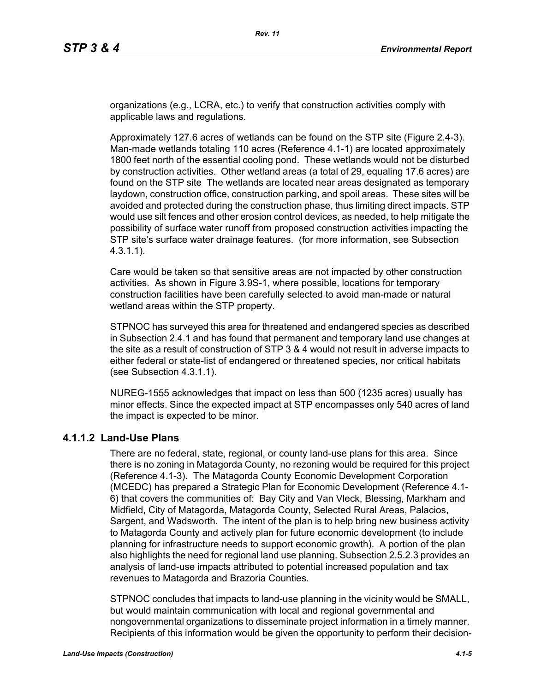organizations (e.g., LCRA, etc.) to verify that construction activities comply with applicable laws and regulations.

Approximately 127.6 acres of wetlands can be found on the STP site (Figure 2.4-3). Man-made wetlands totaling 110 acres (Reference 4.1-1) are located approximately 1800 feet north of the essential cooling pond. These wetlands would not be disturbed by construction activities. Other wetland areas (a total of 29, equaling 17.6 acres) are found on the STP site The wetlands are located near areas designated as temporary laydown, construction office, construction parking, and spoil areas. These sites will be avoided and protected during the construction phase, thus limiting direct impacts. STP would use silt fences and other erosion control devices, as needed, to help mitigate the possibility of surface water runoff from proposed construction activities impacting the STP site's surface water drainage features. (for more information, see Subsection 4.3.1.1).

Care would be taken so that sensitive areas are not impacted by other construction activities. As shown in Figure 3.9S-1, where possible, locations for temporary construction facilities have been carefully selected to avoid man-made or natural wetland areas within the STP property.

STPNOC has surveyed this area for threatened and endangered species as described in Subsection 2.4.1 and has found that permanent and temporary land use changes at the site as a result of construction of STP 3 & 4 would not result in adverse impacts to either federal or state-list of endangered or threatened species, nor critical habitats (see Subsection 4.3.1.1).

NUREG-1555 acknowledges that impact on less than 500 (1235 acres) usually has minor effects. Since the expected impact at STP encompasses only 540 acres of land the impact is expected to be minor.

## **4.1.1.2 Land-Use Plans**

There are no federal, state, regional, or county land-use plans for this area. Since there is no zoning in Matagorda County, no rezoning would be required for this project (Reference 4.1-3). The Matagorda County Economic Development Corporation (MCEDC) has prepared a Strategic Plan for Economic Development (Reference 4.1- 6) that covers the communities of: Bay City and Van Vleck, Blessing, Markham and Midfield, City of Matagorda, Matagorda County, Selected Rural Areas, Palacios, Sargent, and Wadsworth. The intent of the plan is to help bring new business activity to Matagorda County and actively plan for future economic development (to include planning for infrastructure needs to support economic growth). A portion of the plan also highlights the need for regional land use planning. Subsection 2.5.2.3 provides an analysis of land-use impacts attributed to potential increased population and tax revenues to Matagorda and Brazoria Counties.

STPNOC concludes that impacts to land-use planning in the vicinity would be SMALL, but would maintain communication with local and regional governmental and nongovernmental organizations to disseminate project information in a timely manner. Recipients of this information would be given the opportunity to perform their decision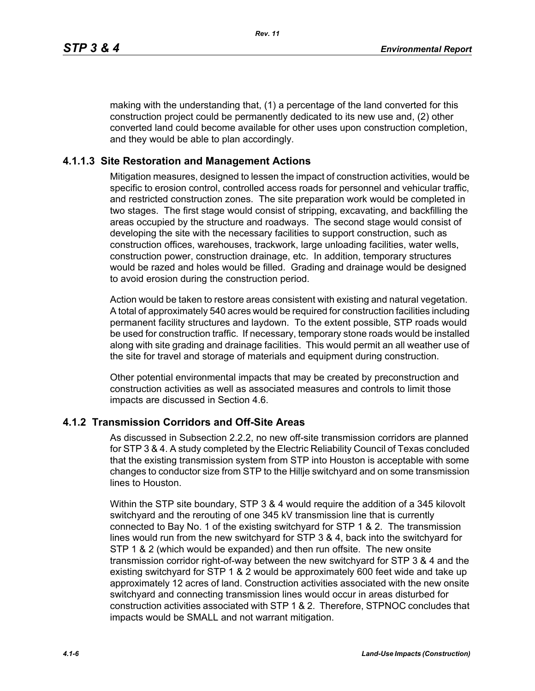making with the understanding that, (1) a percentage of the land converted for this construction project could be permanently dedicated to its new use and, (2) other converted land could become available for other uses upon construction completion, and they would be able to plan accordingly.

#### **4.1.1.3 Site Restoration and Management Actions**

Mitigation measures, designed to lessen the impact of construction activities, would be specific to erosion control, controlled access roads for personnel and vehicular traffic, and restricted construction zones. The site preparation work would be completed in two stages. The first stage would consist of stripping, excavating, and backfilling the areas occupied by the structure and roadways. The second stage would consist of developing the site with the necessary facilities to support construction, such as construction offices, warehouses, trackwork, large unloading facilities, water wells, construction power, construction drainage, etc. In addition, temporary structures would be razed and holes would be filled. Grading and drainage would be designed to avoid erosion during the construction period.

Action would be taken to restore areas consistent with existing and natural vegetation. A total of approximately 540 acres would be required for construction facilities including permanent facility structures and laydown. To the extent possible, STP roads would be used for construction traffic. If necessary, temporary stone roads would be installed along with site grading and drainage facilities. This would permit an all weather use of the site for travel and storage of materials and equipment during construction.

Other potential environmental impacts that may be created by preconstruction and construction activities as well as associated measures and controls to limit those impacts are discussed in Section 4.6.

#### **4.1.2 Transmission Corridors and Off-Site Areas**

As discussed in Subsection 2.2.2, no new off-site transmission corridors are planned for STP 3 & 4. A study completed by the Electric Reliability Council of Texas concluded that the existing transmission system from STP into Houston is acceptable with some changes to conductor size from STP to the Hillje switchyard and on some transmission lines to Houston.

Within the STP site boundary, STP 3 & 4 would require the addition of a 345 kilovolt switchyard and the rerouting of one 345 kV transmission line that is currently connected to Bay No. 1 of the existing switchyard for STP 1 & 2. The transmission lines would run from the new switchyard for STP 3 & 4, back into the switchyard for STP 1 & 2 (which would be expanded) and then run offsite. The new onsite transmission corridor right-of-way between the new switchyard for STP 3 & 4 and the existing switchyard for STP 1 & 2 would be approximately 600 feet wide and take up approximately 12 acres of land. Construction activities associated with the new onsite switchyard and connecting transmission lines would occur in areas disturbed for construction activities associated with STP 1 & 2. Therefore, STPNOC concludes that impacts would be SMALL and not warrant mitigation.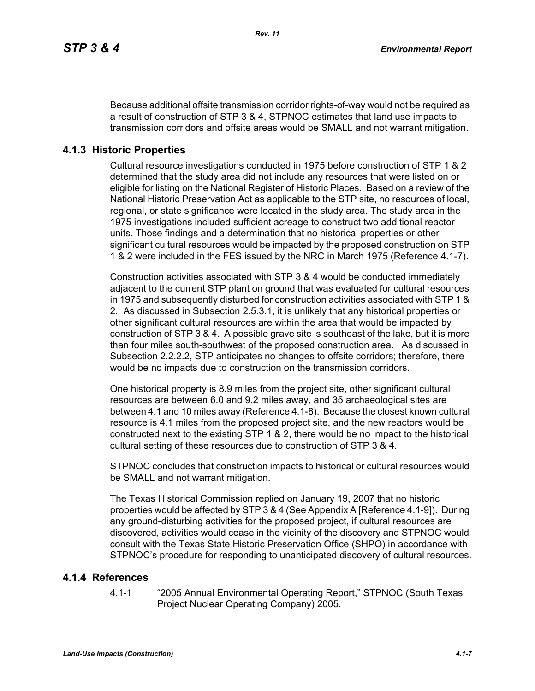Because additional offsite transmission corridor rights-of-way would not be required as a result of construction of STP 3 & 4, STPNOC estimates that land use impacts to transmission corridors and offsite areas would be SMALL and not warrant mitigation.

## **4.1.3 Historic Properties**

Cultural resource investigations conducted in 1975 before construction of STP 1 & 2 determined that the study area did not include any resources that were listed on or eligible for listing on the National Register of Historic Places. Based on a review of the National Historic Preservation Act as applicable to the STP site, no resources of local, regional, or state significance were located in the study area. The study area in the 1975 investigations included sufficient acreage to construct two additional reactor units. Those findings and a determination that no historical properties or other significant cultural resources would be impacted by the proposed construction on STP 1 & 2 were included in the FES issued by the NRC in March 1975 (Reference 4.1-7).

Construction activities associated with STP 3 & 4 would be conducted immediately adjacent to the current STP plant on ground that was evaluated for cultural resources in 1975 and subsequently disturbed for construction activities associated with STP 1 & 2. As discussed in Subsection 2.5.3.1, it is unlikely that any historical properties or other significant cultural resources are within the area that would be impacted by construction of STP 3 & 4. A possible grave site is southeast of the lake, but it is more than four miles south-southwest of the proposed construction area. As discussed in Subsection 2.2.2.2, STP anticipates no changes to offsite corridors; therefore, there would be no impacts due to construction on the transmission corridors.

One historical property is 8.9 miles from the project site, other significant cultural resources are between 6.0 and 9.2 miles away, and 35 archaeological sites are between 4.1 and 10 miles away (Reference 4.1-8). Because the closest known cultural resource is 4.1 miles from the proposed project site, and the new reactors would be constructed next to the existing STP 1 & 2, there would be no impact to the historical cultural setting of these resources due to construction of STP 3 & 4.

STPNOC concludes that construction impacts to historical or cultural resources would be SMALL and not warrant mitigation.

The Texas Historical Commission replied on January 19, 2007 that no historic properties would be affected by STP 3 & 4 (See Appendix A [Reference 4.1-9]). During any ground-disturbing activities for the proposed project, if cultural resources are discovered, activities would cease in the vicinity of the discovery and STPNOC would consult with the Texas State Historic Preservation Office (SHPO) in accordance with STPNOC's procedure for responding to unanticipated discovery of cultural resources.

## **4.1.4 References**

4.1-1 "2005 Annual Environmental Operating Report," STPNOC (South Texas Project Nuclear Operating Company) 2005.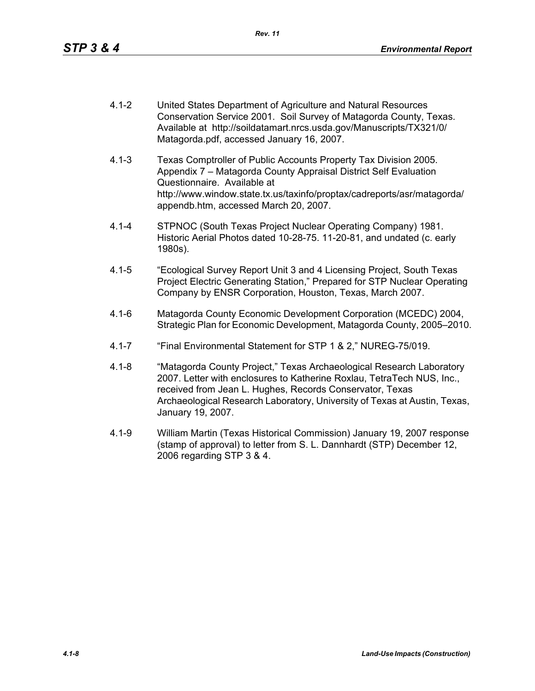- 4.1-2 United States Department of Agriculture and Natural Resources Conservation Service 2001. Soil Survey of Matagorda County, Texas. Available at http://soildatamart.nrcs.usda.gov/Manuscripts/TX321/0/ Matagorda.pdf, accessed January 16, 2007.
- 4.1-3 Texas Comptroller of Public Accounts Property Tax Division 2005. Appendix 7 – Matagorda County Appraisal District Self Evaluation Questionnaire. Available at http://www.window.state.tx.us/taxinfo/proptax/cadreports/asr/matagorda/ appendb.htm, accessed March 20, 2007.
- 4.1-4 STPNOC (South Texas Project Nuclear Operating Company) 1981. Historic Aerial Photos dated 10-28-75. 11-20-81, and undated (c. early 1980s).
- 4.1-5 "Ecological Survey Report Unit 3 and 4 Licensing Project, South Texas Project Electric Generating Station," Prepared for STP Nuclear Operating Company by ENSR Corporation, Houston, Texas, March 2007.
- 4.1-6 Matagorda County Economic Development Corporation (MCEDC) 2004, Strategic Plan for Economic Development, Matagorda County, 2005–2010.
- 4.1-7 "Final Environmental Statement for STP 1 & 2," NUREG-75/019.
- 4.1-8 "Matagorda County Project," Texas Archaeological Research Laboratory 2007. Letter with enclosures to Katherine Roxlau, TetraTech NUS, Inc., received from Jean L. Hughes, Records Conservator, Texas Archaeological Research Laboratory, University of Texas at Austin, Texas, January 19, 2007.
- 4.1-9 William Martin (Texas Historical Commission) January 19, 2007 response (stamp of approval) to letter from S. L. Dannhardt (STP) December 12, 2006 regarding STP 3 & 4.